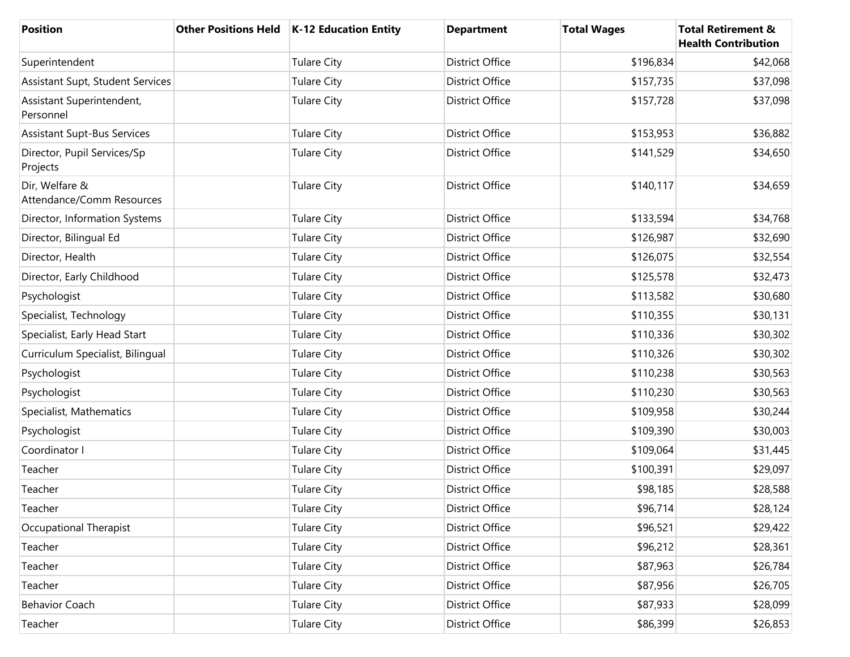| <b>Position</b>                             | Other Positions Held   K-12 Education Entity | <b>Department</b>      | <b>Total Wages</b> | <b>Total Retirement &amp;</b><br><b>Health Contribution</b> |
|---------------------------------------------|----------------------------------------------|------------------------|--------------------|-------------------------------------------------------------|
| Superintendent                              | <b>Tulare City</b>                           | <b>District Office</b> | \$196,834          | \$42,068                                                    |
| Assistant Supt, Student Services            | <b>Tulare City</b>                           | <b>District Office</b> | \$157,735          | \$37,098                                                    |
| Assistant Superintendent,<br>Personnel      | <b>Tulare City</b>                           | <b>District Office</b> | \$157,728          | \$37,098                                                    |
| <b>Assistant Supt-Bus Services</b>          | <b>Tulare City</b>                           | <b>District Office</b> | \$153,953          | \$36,882                                                    |
| Director, Pupil Services/Sp<br>Projects     | <b>Tulare City</b>                           | <b>District Office</b> | \$141,529          | \$34,650                                                    |
| Dir, Welfare &<br>Attendance/Comm Resources | <b>Tulare City</b>                           | <b>District Office</b> | \$140,117          | \$34,659                                                    |
| Director, Information Systems               | <b>Tulare City</b>                           | <b>District Office</b> | \$133,594          | \$34,768                                                    |
| Director, Bilingual Ed                      | <b>Tulare City</b>                           | <b>District Office</b> | \$126,987          | \$32,690                                                    |
| Director, Health                            | <b>Tulare City</b>                           | <b>District Office</b> | \$126,075          | \$32,554                                                    |
| Director, Early Childhood                   | <b>Tulare City</b>                           | <b>District Office</b> | \$125,578          | \$32,473                                                    |
| Psychologist                                | <b>Tulare City</b>                           | <b>District Office</b> | \$113,582          | \$30,680                                                    |
| Specialist, Technology                      | <b>Tulare City</b>                           | <b>District Office</b> | \$110,355          | \$30,131                                                    |
| Specialist, Early Head Start                | <b>Tulare City</b>                           | <b>District Office</b> | \$110,336          | \$30,302                                                    |
| Curriculum Specialist, Bilingual            | <b>Tulare City</b>                           | <b>District Office</b> | \$110,326          | \$30,302                                                    |
| Psychologist                                | <b>Tulare City</b>                           | <b>District Office</b> | \$110,238          | \$30,563                                                    |
| Psychologist                                | <b>Tulare City</b>                           | <b>District Office</b> | \$110,230          | \$30,563                                                    |
| Specialist, Mathematics                     | <b>Tulare City</b>                           | <b>District Office</b> | \$109,958          | \$30,244                                                    |
| Psychologist                                | <b>Tulare City</b>                           | <b>District Office</b> | \$109,390          | \$30,003                                                    |
| Coordinator I                               | <b>Tulare City</b>                           | <b>District Office</b> | \$109,064          | \$31,445                                                    |
| Teacher                                     | <b>Tulare City</b>                           | <b>District Office</b> | \$100,391          | \$29,097                                                    |
| Teacher                                     | <b>Tulare City</b>                           | <b>District Office</b> | \$98,185           | \$28,588                                                    |
| Teacher                                     | <b>Tulare City</b>                           | <b>District Office</b> | \$96,714           | \$28,124                                                    |
| Occupational Therapist                      | <b>Tulare City</b>                           | District Office        | \$96,521           | \$29,422                                                    |
| Teacher                                     | <b>Tulare City</b>                           | District Office        | \$96,212           | \$28,361                                                    |
| Teacher                                     | <b>Tulare City</b>                           | <b>District Office</b> | \$87,963           | \$26,784                                                    |
| Teacher                                     | <b>Tulare City</b>                           | District Office        | \$87,956           | \$26,705                                                    |
| <b>Behavior Coach</b>                       | <b>Tulare City</b>                           | District Office        | \$87,933           | \$28,099                                                    |
| Teacher                                     | <b>Tulare City</b>                           | District Office        | \$86,399           | \$26,853                                                    |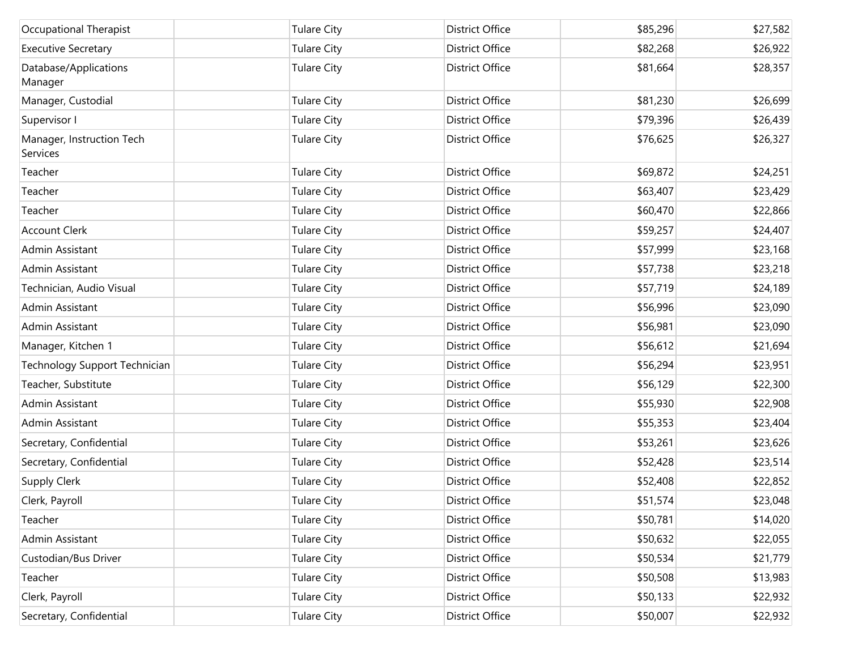| Occupational Therapist                | <b>Tulare City</b> | District Office        | \$85,296 | \$27,582 |
|---------------------------------------|--------------------|------------------------|----------|----------|
| <b>Executive Secretary</b>            | <b>Tulare City</b> | <b>District Office</b> | \$82,268 | \$26,922 |
| Database/Applications<br>Manager      | <b>Tulare City</b> | <b>District Office</b> | \$81,664 | \$28,357 |
| Manager, Custodial                    | <b>Tulare City</b> | <b>District Office</b> | \$81,230 | \$26,699 |
| Supervisor I                          | <b>Tulare City</b> | <b>District Office</b> | \$79,396 | \$26,439 |
| Manager, Instruction Tech<br>Services | <b>Tulare City</b> | <b>District Office</b> | \$76,625 | \$26,327 |
| Teacher                               | <b>Tulare City</b> | <b>District Office</b> | \$69,872 | \$24,251 |
| Teacher                               | <b>Tulare City</b> | District Office        | \$63,407 | \$23,429 |
| Teacher                               | <b>Tulare City</b> | District Office        | \$60,470 | \$22,866 |
| <b>Account Clerk</b>                  | <b>Tulare City</b> | <b>District Office</b> | \$59,257 | \$24,407 |
| Admin Assistant                       | <b>Tulare City</b> | District Office        | \$57,999 | \$23,168 |
| Admin Assistant                       | <b>Tulare City</b> | <b>District Office</b> | \$57,738 | \$23,218 |
| Technician, Audio Visual              | <b>Tulare City</b> | <b>District Office</b> | \$57,719 | \$24,189 |
| Admin Assistant                       | <b>Tulare City</b> | <b>District Office</b> | \$56,996 | \$23,090 |
| Admin Assistant                       | <b>Tulare City</b> | District Office        | \$56,981 | \$23,090 |
| Manager, Kitchen 1                    | <b>Tulare City</b> | District Office        | \$56,612 | \$21,694 |
| Technology Support Technician         | <b>Tulare City</b> | District Office        | \$56,294 | \$23,951 |
| Teacher, Substitute                   | <b>Tulare City</b> | <b>District Office</b> | \$56,129 | \$22,300 |
| Admin Assistant                       | <b>Tulare City</b> | <b>District Office</b> | \$55,930 | \$22,908 |
| Admin Assistant                       | <b>Tulare City</b> | <b>District Office</b> | \$55,353 | \$23,404 |
| Secretary, Confidential               | <b>Tulare City</b> | District Office        | \$53,261 | \$23,626 |
| Secretary, Confidential               | <b>Tulare City</b> | District Office        | \$52,428 | \$23,514 |
| <b>Supply Clerk</b>                   | <b>Tulare City</b> | District Office        | \$52,408 | \$22,852 |
| Clerk, Payroll                        | <b>Tulare City</b> | <b>District Office</b> | \$51,574 | \$23,048 |
| Teacher                               | <b>Tulare City</b> | <b>District Office</b> | \$50,781 | \$14,020 |
| Admin Assistant                       | <b>Tulare City</b> | District Office        | \$50,632 | \$22,055 |
| Custodian/Bus Driver                  | <b>Tulare City</b> | District Office        | \$50,534 | \$21,779 |
| Teacher                               | <b>Tulare City</b> | District Office        | \$50,508 | \$13,983 |
| Clerk, Payroll                        | <b>Tulare City</b> | District Office        | \$50,133 | \$22,932 |
| Secretary, Confidential               | <b>Tulare City</b> | District Office        | \$50,007 | \$22,932 |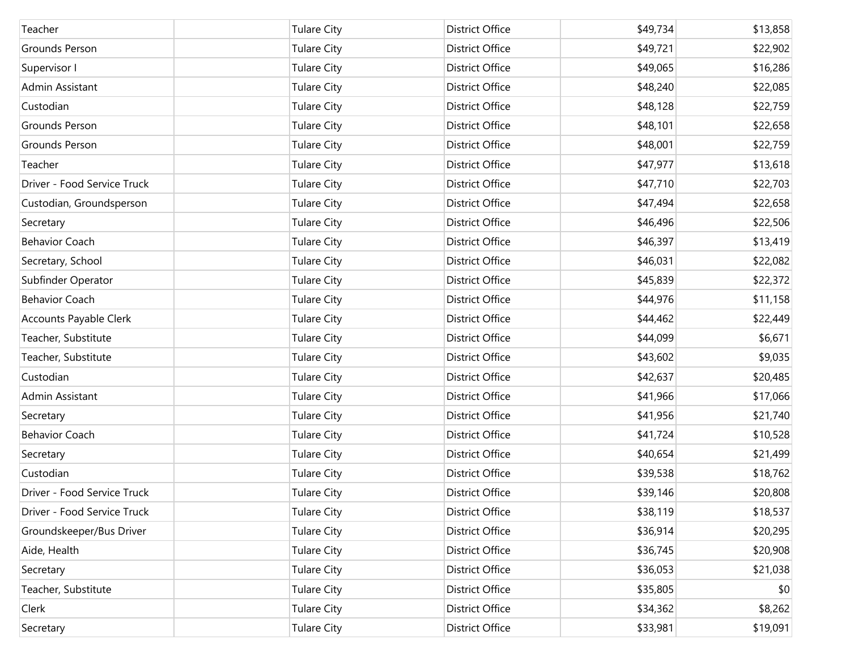| Teacher                     | <b>Tulare City</b> | District Office        | \$49,734 | \$13,858 |
|-----------------------------|--------------------|------------------------|----------|----------|
| <b>Grounds Person</b>       | <b>Tulare City</b> | District Office        | \$49,721 | \$22,902 |
| Supervisor I                | <b>Tulare City</b> | District Office        | \$49,065 | \$16,286 |
| Admin Assistant             | <b>Tulare City</b> | District Office        | \$48,240 | \$22,085 |
| Custodian                   | <b>Tulare City</b> | District Office        | \$48,128 | \$22,759 |
| <b>Grounds Person</b>       | <b>Tulare City</b> | District Office        | \$48,101 | \$22,658 |
| <b>Grounds Person</b>       | <b>Tulare City</b> | District Office        | \$48,001 | \$22,759 |
| Teacher                     | <b>Tulare City</b> | District Office        | \$47,977 | \$13,618 |
| Driver - Food Service Truck | <b>Tulare City</b> | District Office        | \$47,710 | \$22,703 |
| Custodian, Groundsperson    | <b>Tulare City</b> | District Office        | \$47,494 | \$22,658 |
| Secretary                   | <b>Tulare City</b> | District Office        | \$46,496 | \$22,506 |
| <b>Behavior Coach</b>       | <b>Tulare City</b> | <b>District Office</b> | \$46,397 | \$13,419 |
| Secretary, School           | <b>Tulare City</b> | District Office        | \$46,031 | \$22,082 |
| Subfinder Operator          | <b>Tulare City</b> | District Office        | \$45,839 | \$22,372 |
| <b>Behavior Coach</b>       | <b>Tulare City</b> | <b>District Office</b> | \$44,976 | \$11,158 |
| Accounts Payable Clerk      | <b>Tulare City</b> | District Office        | \$44,462 | \$22,449 |
| Teacher, Substitute         | <b>Tulare City</b> | District Office        | \$44,099 | \$6,671  |
| Teacher, Substitute         | <b>Tulare City</b> | <b>District Office</b> | \$43,602 | \$9,035  |
| Custodian                   | <b>Tulare City</b> | District Office        | \$42,637 | \$20,485 |
| Admin Assistant             | <b>Tulare City</b> | District Office        | \$41,966 | \$17,066 |
| Secretary                   | <b>Tulare City</b> | District Office        | \$41,956 | \$21,740 |
| <b>Behavior Coach</b>       | <b>Tulare City</b> | District Office        | \$41,724 | \$10,528 |
| Secretary                   | <b>Tulare City</b> | District Office        | \$40,654 | \$21,499 |
| Custodian                   | <b>Tulare City</b> | <b>District Office</b> | \$39,538 | \$18,762 |
| Driver - Food Service Truck | <b>Tulare City</b> | <b>District Office</b> | \$39,146 | \$20,808 |
| Driver - Food Service Truck | <b>Tulare City</b> | District Office        | \$38,119 | \$18,537 |
| Groundskeeper/Bus Driver    | <b>Tulare City</b> | District Office        | \$36,914 | \$20,295 |
| Aide, Health                | <b>Tulare City</b> | District Office        | \$36,745 | \$20,908 |
| Secretary                   | <b>Tulare City</b> | District Office        | \$36,053 | \$21,038 |
| Teacher, Substitute         | <b>Tulare City</b> | District Office        | \$35,805 | \$0      |
| Clerk                       | <b>Tulare City</b> | District Office        | \$34,362 | \$8,262  |
| Secretary                   | <b>Tulare City</b> | District Office        | \$33,981 | \$19,091 |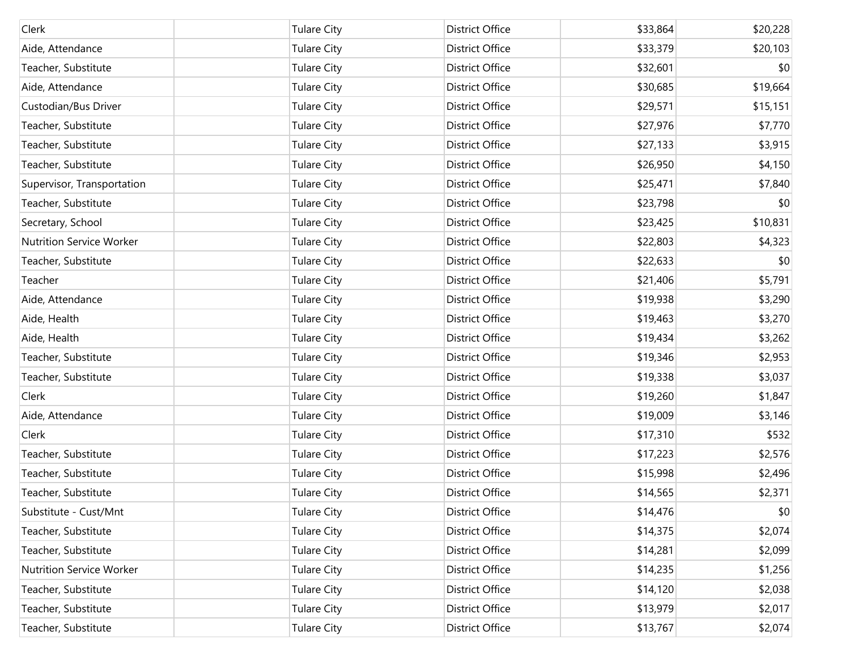| Clerk                           | <b>Tulare City</b> | District Office        | \$33,864 | \$20,228 |
|---------------------------------|--------------------|------------------------|----------|----------|
| Aide, Attendance                | <b>Tulare City</b> | District Office        | \$33,379 | \$20,103 |
| Teacher, Substitute             | <b>Tulare City</b> | District Office        | \$32,601 | \$0      |
| Aide, Attendance                | <b>Tulare City</b> | District Office        | \$30,685 | \$19,664 |
| Custodian/Bus Driver            | <b>Tulare City</b> | District Office        | \$29,571 | \$15,151 |
| Teacher, Substitute             | <b>Tulare City</b> | District Office        | \$27,976 | \$7,770  |
| Teacher, Substitute             | <b>Tulare City</b> | District Office        | \$27,133 | \$3,915  |
| Teacher, Substitute             | <b>Tulare City</b> | District Office        | \$26,950 | \$4,150  |
| Supervisor, Transportation      | <b>Tulare City</b> | District Office        | \$25,471 | \$7,840  |
| Teacher, Substitute             | <b>Tulare City</b> | District Office        | \$23,798 | \$0      |
| Secretary, School               | <b>Tulare City</b> | District Office        | \$23,425 | \$10,831 |
| <b>Nutrition Service Worker</b> | <b>Tulare City</b> | District Office        | \$22,803 | \$4,323  |
| Teacher, Substitute             | <b>Tulare City</b> | District Office        | \$22,633 | \$0      |
| Teacher                         | <b>Tulare City</b> | District Office        | \$21,406 | \$5,791  |
| Aide, Attendance                | <b>Tulare City</b> | District Office        | \$19,938 | \$3,290  |
| Aide, Health                    | <b>Tulare City</b> | <b>District Office</b> | \$19,463 | \$3,270  |
| Aide, Health                    | <b>Tulare City</b> | District Office        | \$19,434 | \$3,262  |
| Teacher, Substitute             | <b>Tulare City</b> | District Office        | \$19,346 | \$2,953  |
| Teacher, Substitute             | <b>Tulare City</b> | District Office        | \$19,338 | \$3,037  |
| Clerk                           | <b>Tulare City</b> | District Office        | \$19,260 | \$1,847  |
| Aide, Attendance                | <b>Tulare City</b> | District Office        | \$19,009 | \$3,146  |
| Clerk                           | <b>Tulare City</b> | District Office        | \$17,310 | \$532    |
| Teacher, Substitute             | <b>Tulare City</b> | District Office        | \$17,223 | \$2,576  |
| Teacher, Substitute             | <b>Tulare City</b> | District Office        | \$15,998 | \$2,496  |
| Teacher, Substitute             | <b>Tulare City</b> | District Office        | \$14,565 | \$2,371  |
| Substitute - Cust/Mnt           | <b>Tulare City</b> | District Office        | \$14,476 | \$0      |
| Teacher, Substitute             | <b>Tulare City</b> | District Office        | \$14,375 | \$2,074  |
| Teacher, Substitute             | <b>Tulare City</b> | District Office        | \$14,281 | \$2,099  |
| <b>Nutrition Service Worker</b> | <b>Tulare City</b> | District Office        | \$14,235 | \$1,256  |
| Teacher, Substitute             | <b>Tulare City</b> | District Office        | \$14,120 | \$2,038  |
| Teacher, Substitute             | <b>Tulare City</b> | District Office        | \$13,979 | \$2,017  |
| Teacher, Substitute             | <b>Tulare City</b> | District Office        | \$13,767 | \$2,074  |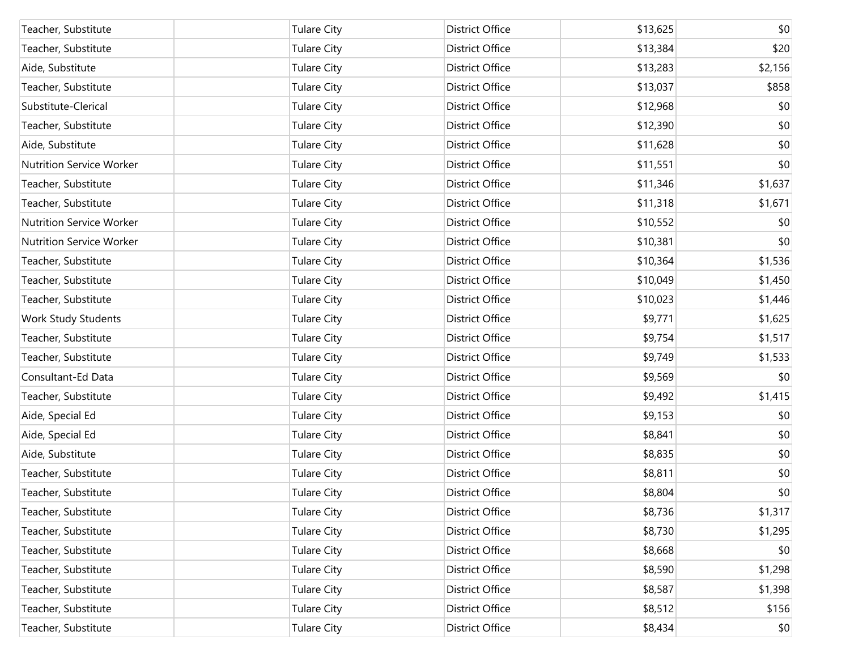| Teacher, Substitute             | <b>Tulare City</b> | <b>District Office</b> | \$13,625 | \$0     |
|---------------------------------|--------------------|------------------------|----------|---------|
| Teacher, Substitute             | <b>Tulare City</b> | <b>District Office</b> | \$13,384 | \$20    |
| Aide, Substitute                | <b>Tulare City</b> | <b>District Office</b> | \$13,283 | \$2,156 |
| Teacher, Substitute             | <b>Tulare City</b> | <b>District Office</b> | \$13,037 | \$858   |
| Substitute-Clerical             | <b>Tulare City</b> | <b>District Office</b> | \$12,968 | \$0     |
| Teacher, Substitute             | <b>Tulare City</b> | <b>District Office</b> | \$12,390 | \$0     |
| Aide, Substitute                | <b>Tulare City</b> | <b>District Office</b> | \$11,628 | \$0     |
| <b>Nutrition Service Worker</b> | <b>Tulare City</b> | <b>District Office</b> | \$11,551 | \$0     |
| Teacher, Substitute             | <b>Tulare City</b> | <b>District Office</b> | \$11,346 | \$1,637 |
| Teacher, Substitute             | <b>Tulare City</b> | <b>District Office</b> | \$11,318 | \$1,671 |
| <b>Nutrition Service Worker</b> | <b>Tulare City</b> | <b>District Office</b> | \$10,552 | \$0     |
| <b>Nutrition Service Worker</b> | <b>Tulare City</b> | <b>District Office</b> | \$10,381 | \$0     |
| Teacher, Substitute             | <b>Tulare City</b> | <b>District Office</b> | \$10,364 | \$1,536 |
| Teacher, Substitute             | <b>Tulare City</b> | <b>District Office</b> | \$10,049 | \$1,450 |
| Teacher, Substitute             | <b>Tulare City</b> | <b>District Office</b> | \$10,023 | \$1,446 |
| Work Study Students             | <b>Tulare City</b> | <b>District Office</b> | \$9,771  | \$1,625 |
| Teacher, Substitute             | <b>Tulare City</b> | <b>District Office</b> | \$9,754  | \$1,517 |
| Teacher, Substitute             | <b>Tulare City</b> | <b>District Office</b> | \$9,749  | \$1,533 |
| Consultant-Ed Data              | <b>Tulare City</b> | <b>District Office</b> | \$9,569  | \$0     |
| Teacher, Substitute             | <b>Tulare City</b> | <b>District Office</b> | \$9,492  | \$1,415 |
| Aide, Special Ed                | <b>Tulare City</b> | <b>District Office</b> | \$9,153  | \$0     |
| Aide, Special Ed                | <b>Tulare City</b> | <b>District Office</b> | \$8,841  | \$0     |
| Aide, Substitute                | <b>Tulare City</b> | <b>District Office</b> | \$8,835  | \$0     |
| Teacher, Substitute             | <b>Tulare City</b> | <b>District Office</b> | \$8,811  | \$0     |
| Teacher, Substitute             | <b>Tulare City</b> | <b>District Office</b> | \$8,804  | \$0     |
| Teacher, Substitute             | <b>Tulare City</b> | District Office        | \$8,736  | \$1,317 |
| Teacher, Substitute             | <b>Tulare City</b> | <b>District Office</b> | \$8,730  | \$1,295 |
| Teacher, Substitute             | <b>Tulare City</b> | <b>District Office</b> | \$8,668  | \$0     |
| Teacher, Substitute             | <b>Tulare City</b> | <b>District Office</b> | \$8,590  | \$1,298 |
| Teacher, Substitute             | <b>Tulare City</b> | <b>District Office</b> | \$8,587  | \$1,398 |
| Teacher, Substitute             | <b>Tulare City</b> | <b>District Office</b> | \$8,512  | \$156   |
| Teacher, Substitute             | <b>Tulare City</b> | District Office        | \$8,434  | \$0     |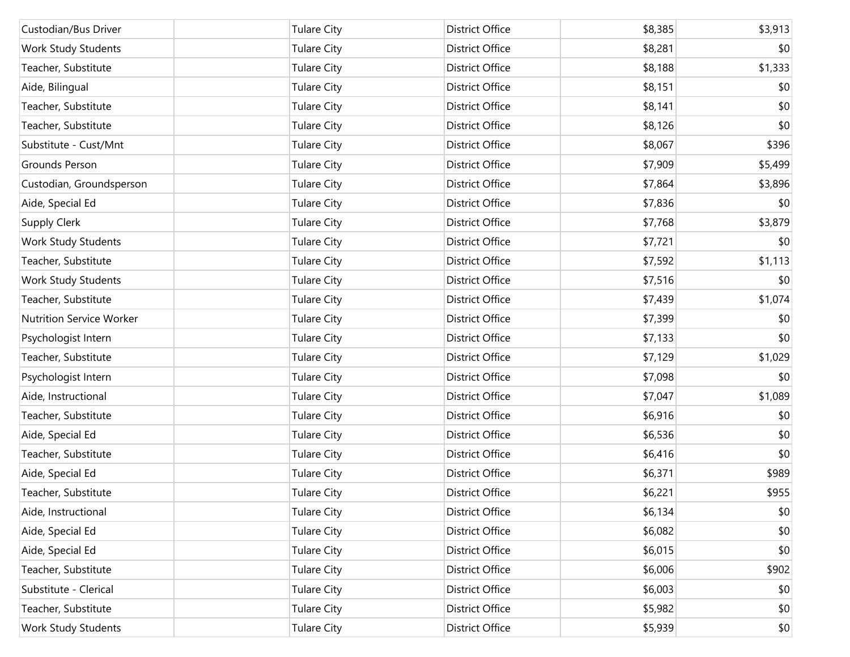| Custodian/Bus Driver     | <b>Tulare City</b> | <b>District Office</b> | \$8,385 | \$3,913 |
|--------------------------|--------------------|------------------------|---------|---------|
| Work Study Students      | <b>Tulare City</b> | District Office        | \$8,281 | \$0     |
| Teacher, Substitute      | <b>Tulare City</b> | District Office        | \$8,188 | \$1,333 |
| Aide, Bilingual          | <b>Tulare City</b> | District Office        | \$8,151 | \$0     |
| Teacher, Substitute      | <b>Tulare City</b> | District Office        | \$8,141 | \$0     |
| Teacher, Substitute      | <b>Tulare City</b> | District Office        | \$8,126 | \$0     |
| Substitute - Cust/Mnt    | <b>Tulare City</b> | District Office        | \$8,067 | \$396   |
| Grounds Person           | <b>Tulare City</b> | District Office        | \$7,909 | \$5,499 |
| Custodian, Groundsperson | <b>Tulare City</b> | District Office        | \$7,864 | \$3,896 |
| Aide, Special Ed         | <b>Tulare City</b> | District Office        | \$7,836 | \$0     |
| Supply Clerk             | <b>Tulare City</b> | District Office        | \$7,768 | \$3,879 |
| Work Study Students      | <b>Tulare City</b> | District Office        | \$7,721 | \$0     |
| Teacher, Substitute      | <b>Tulare City</b> | District Office        | \$7,592 | \$1,113 |
| Work Study Students      | <b>Tulare City</b> | District Office        | \$7,516 | \$0     |
| Teacher, Substitute      | <b>Tulare City</b> | District Office        | \$7,439 | \$1,074 |
| Nutrition Service Worker | <b>Tulare City</b> | District Office        | \$7,399 | \$0     |
| Psychologist Intern      | <b>Tulare City</b> | District Office        | \$7,133 | \$0     |
| Teacher, Substitute      | <b>Tulare City</b> | District Office        | \$7,129 | \$1,029 |
| Psychologist Intern      | <b>Tulare City</b> | District Office        | \$7,098 | \$0     |
| Aide, Instructional      | <b>Tulare City</b> | District Office        | \$7,047 | \$1,089 |
| Teacher, Substitute      | <b>Tulare City</b> | District Office        | \$6,916 | \$0     |
| Aide, Special Ed         | <b>Tulare City</b> | <b>District Office</b> | \$6,536 | \$0     |
| Teacher, Substitute      | <b>Tulare City</b> | District Office        | \$6,416 | \$0     |
| Aide, Special Ed         | <b>Tulare City</b> | <b>District Office</b> | \$6,371 | \$989   |
| Teacher, Substitute      | <b>Tulare City</b> | <b>District Office</b> | \$6,221 | \$955   |
| Aide, Instructional      | <b>Tulare City</b> | District Office        | \$6,134 | \$0     |
| Aide, Special Ed         | <b>Tulare City</b> | District Office        | \$6,082 | \$0     |
| Aide, Special Ed         | <b>Tulare City</b> | District Office        | \$6,015 | \$0     |
| Teacher, Substitute      | <b>Tulare City</b> | District Office        | \$6,006 | \$902   |
| Substitute - Clerical    | <b>Tulare City</b> | District Office        | \$6,003 | \$0     |
| Teacher, Substitute      | <b>Tulare City</b> | District Office        | \$5,982 | \$0     |
| Work Study Students      | <b>Tulare City</b> | District Office        | \$5,939 | \$0     |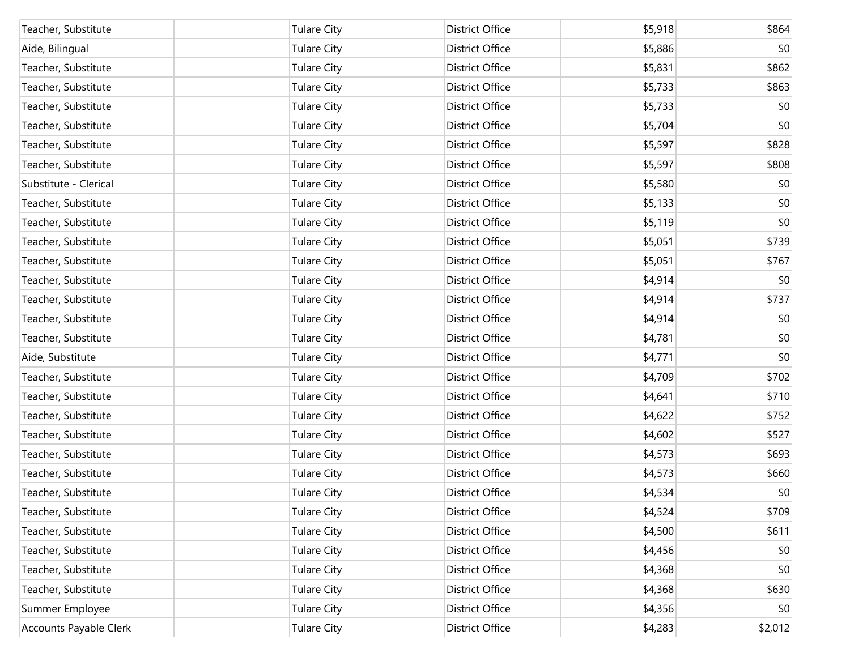| Teacher, Substitute    | <b>Tulare City</b> | <b>District Office</b> | \$5,918 | \$864   |
|------------------------|--------------------|------------------------|---------|---------|
| Aide, Bilingual        | <b>Tulare City</b> | District Office        | \$5,886 | \$0     |
| Teacher, Substitute    | <b>Tulare City</b> | District Office        | \$5,831 | \$862   |
| Teacher, Substitute    | <b>Tulare City</b> | District Office        | \$5,733 | \$863   |
| Teacher, Substitute    | <b>Tulare City</b> | District Office        | \$5,733 | \$0     |
| Teacher, Substitute    | <b>Tulare City</b> | District Office        | \$5,704 | \$0     |
| Teacher, Substitute    | <b>Tulare City</b> | District Office        | \$5,597 | \$828   |
| Teacher, Substitute    | <b>Tulare City</b> | District Office        | \$5,597 | \$808   |
| Substitute - Clerical  | <b>Tulare City</b> | District Office        | \$5,580 | \$0     |
| Teacher, Substitute    | <b>Tulare City</b> | District Office        | \$5,133 | \$0     |
| Teacher, Substitute    | <b>Tulare City</b> | District Office        | \$5,119 | \$0     |
| Teacher, Substitute    | <b>Tulare City</b> | District Office        | \$5,051 | \$739   |
| Teacher, Substitute    | <b>Tulare City</b> | District Office        | \$5,051 | \$767   |
| Teacher, Substitute    | <b>Tulare City</b> | District Office        | \$4,914 | \$0     |
| Teacher, Substitute    | <b>Tulare City</b> | District Office        | \$4,914 | \$737   |
| Teacher, Substitute    | <b>Tulare City</b> | District Office        | \$4,914 | \$0     |
| Teacher, Substitute    | <b>Tulare City</b> | District Office        | \$4,781 | \$0     |
| Aide, Substitute       | <b>Tulare City</b> | District Office        | \$4,771 | \$0     |
| Teacher, Substitute    | <b>Tulare City</b> | District Office        | \$4,709 | \$702   |
| Teacher, Substitute    | <b>Tulare City</b> | District Office        | \$4,641 | \$710   |
| Teacher, Substitute    | <b>Tulare City</b> | District Office        | \$4,622 | \$752   |
| Teacher, Substitute    | <b>Tulare City</b> | District Office        | \$4,602 | \$527   |
| Teacher, Substitute    | <b>Tulare City</b> | District Office        | \$4,573 | \$693   |
| Teacher, Substitute    | <b>Tulare City</b> | District Office        | \$4,573 | \$660   |
| Teacher, Substitute    | <b>Tulare City</b> | <b>District Office</b> | \$4,534 | \$0     |
| Teacher, Substitute    | <b>Tulare City</b> | <b>District Office</b> | \$4,524 | \$709   |
| Teacher, Substitute    | <b>Tulare City</b> | District Office        | \$4,500 | \$611   |
| Teacher, Substitute    | <b>Tulare City</b> | District Office        | \$4,456 | \$0     |
| Teacher, Substitute    | <b>Tulare City</b> | District Office        | \$4,368 | \$0     |
| Teacher, Substitute    | <b>Tulare City</b> | District Office        | \$4,368 | \$630   |
| Summer Employee        | <b>Tulare City</b> | District Office        | \$4,356 | \$0     |
| Accounts Payable Clerk | <b>Tulare City</b> | District Office        | \$4,283 | \$2,012 |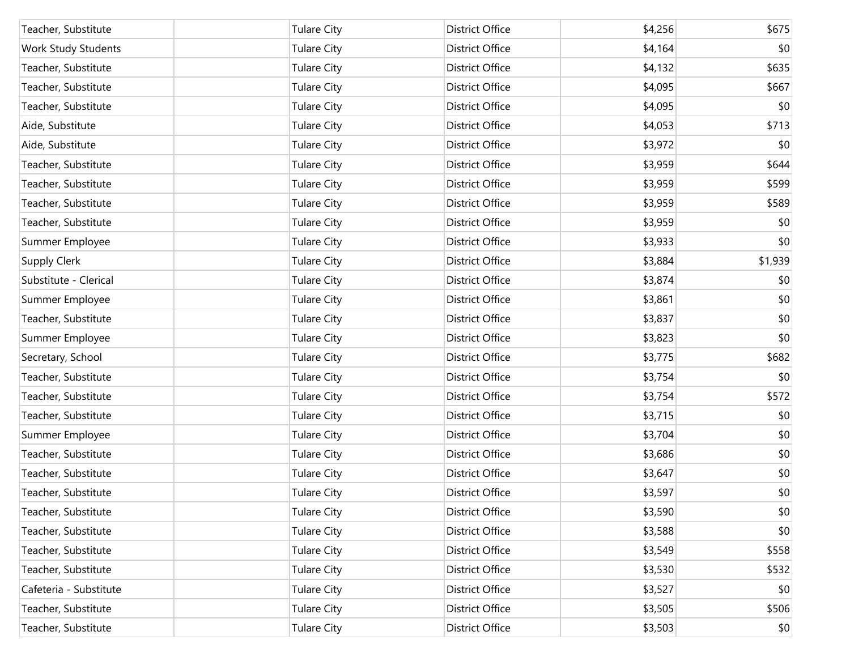| Teacher, Substitute    | <b>Tulare City</b> | <b>District Office</b> | \$4,256 | \$675   |
|------------------------|--------------------|------------------------|---------|---------|
| Work Study Students    | <b>Tulare City</b> | District Office        | \$4,164 | \$0     |
| Teacher, Substitute    | <b>Tulare City</b> | <b>District Office</b> | \$4,132 | \$635   |
| Teacher, Substitute    | <b>Tulare City</b> | District Office        | \$4,095 | \$667   |
| Teacher, Substitute    | <b>Tulare City</b> | District Office        | \$4,095 | \$0     |
| Aide, Substitute       | <b>Tulare City</b> | District Office        | \$4,053 | \$713   |
| Aide, Substitute       | <b>Tulare City</b> | District Office        | \$3,972 | \$0     |
| Teacher, Substitute    | <b>Tulare City</b> | District Office        | \$3,959 | \$644   |
| Teacher, Substitute    | <b>Tulare City</b> | <b>District Office</b> | \$3,959 | \$599   |
| Teacher, Substitute    | <b>Tulare City</b> | District Office        | \$3,959 | \$589   |
| Teacher, Substitute    | <b>Tulare City</b> | District Office        | \$3,959 | \$0     |
| Summer Employee        | <b>Tulare City</b> | District Office        | \$3,933 | \$0     |
| <b>Supply Clerk</b>    | <b>Tulare City</b> | <b>District Office</b> | \$3,884 | \$1,939 |
| Substitute - Clerical  | <b>Tulare City</b> | District Office        | \$3,874 | \$0     |
| Summer Employee        | <b>Tulare City</b> | District Office        | \$3,861 | \$0     |
| Teacher, Substitute    | <b>Tulare City</b> | District Office        | \$3,837 | \$0     |
| Summer Employee        | <b>Tulare City</b> | District Office        | \$3,823 | \$0     |
| Secretary, School      | <b>Tulare City</b> | District Office        | \$3,775 | \$682   |
| Teacher, Substitute    | <b>Tulare City</b> | District Office        | \$3,754 | \$0     |
| Teacher, Substitute    | <b>Tulare City</b> | District Office        | \$3,754 | \$572   |
| Teacher, Substitute    | <b>Tulare City</b> | District Office        | \$3,715 | \$0     |
| Summer Employee        | <b>Tulare City</b> | District Office        | \$3,704 | \$0     |
| Teacher, Substitute    | <b>Tulare City</b> | District Office        | \$3,686 | \$0     |
| Teacher, Substitute    | <b>Tulare City</b> | <b>District Office</b> | \$3,647 | \$0     |
| Teacher, Substitute    | <b>Tulare City</b> | <b>District Office</b> | \$3,597 | \$0     |
| Teacher, Substitute    | <b>Tulare City</b> | District Office        | \$3,590 | \$0     |
| Teacher, Substitute    | <b>Tulare City</b> | District Office        | \$3,588 | \$0     |
| Teacher, Substitute    | <b>Tulare City</b> | District Office        | \$3,549 | \$558   |
| Teacher, Substitute    | <b>Tulare City</b> | District Office        | \$3,530 | \$532   |
| Cafeteria - Substitute | <b>Tulare City</b> | District Office        | \$3,527 | \$0     |
| Teacher, Substitute    | <b>Tulare City</b> | District Office        | \$3,505 | \$506   |
| Teacher, Substitute    | <b>Tulare City</b> | District Office        | \$3,503 | \$0     |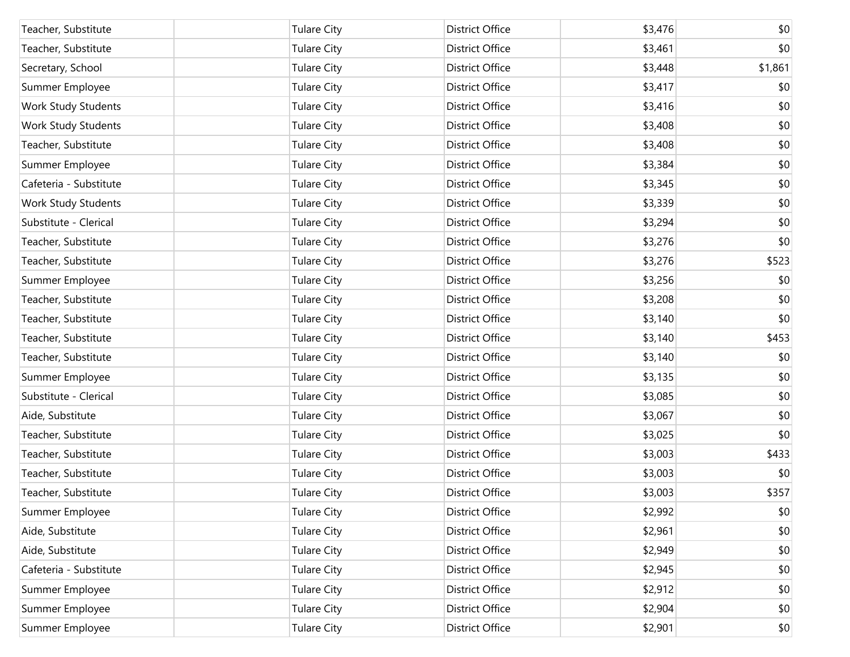| Teacher, Substitute        | <b>Tulare City</b> | <b>District Office</b> | \$3,476 | \$0     |
|----------------------------|--------------------|------------------------|---------|---------|
| Teacher, Substitute        | <b>Tulare City</b> | <b>District Office</b> | \$3,461 | \$0     |
| Secretary, School          | <b>Tulare City</b> | <b>District Office</b> | \$3,448 | \$1,861 |
| Summer Employee            | <b>Tulare City</b> | <b>District Office</b> | \$3,417 | \$0     |
| Work Study Students        | <b>Tulare City</b> | <b>District Office</b> | \$3,416 | \$0     |
| Work Study Students        | <b>Tulare City</b> | <b>District Office</b> | \$3,408 | \$0     |
| Teacher, Substitute        | <b>Tulare City</b> | <b>District Office</b> | \$3,408 | \$0     |
| Summer Employee            | <b>Tulare City</b> | <b>District Office</b> | \$3,384 | \$0     |
| Cafeteria - Substitute     | <b>Tulare City</b> | <b>District Office</b> | \$3,345 | \$0     |
| <b>Work Study Students</b> | <b>Tulare City</b> | <b>District Office</b> | \$3,339 | \$0     |
| Substitute - Clerical      | <b>Tulare City</b> | <b>District Office</b> | \$3,294 | \$0     |
| Teacher, Substitute        | <b>Tulare City</b> | <b>District Office</b> | \$3,276 | \$0     |
| Teacher, Substitute        | <b>Tulare City</b> | District Office        | \$3,276 | \$523   |
| Summer Employee            | <b>Tulare City</b> | District Office        | \$3,256 | \$0     |
| Teacher, Substitute        | <b>Tulare City</b> | District Office        | \$3,208 | \$0     |
| Teacher, Substitute        | <b>Tulare City</b> | <b>District Office</b> | \$3,140 | \$0     |
| Teacher, Substitute        | <b>Tulare City</b> | District Office        | \$3,140 | \$453   |
| Teacher, Substitute        | <b>Tulare City</b> | District Office        | \$3,140 | \$0     |
| Summer Employee            | <b>Tulare City</b> | District Office        | \$3,135 | \$0     |
| Substitute - Clerical      | <b>Tulare City</b> | District Office        | \$3,085 | \$0     |
| Aide, Substitute           | <b>Tulare City</b> | District Office        | \$3,067 | \$0     |
| Teacher, Substitute        | <b>Tulare City</b> | District Office        | \$3,025 | \$0     |
| Teacher, Substitute        | <b>Tulare City</b> | <b>District Office</b> | \$3,003 | \$433   |
| Teacher, Substitute        | <b>Tulare City</b> | <b>District Office</b> | \$3,003 | \$0     |
| Teacher, Substitute        | <b>Tulare City</b> | District Office        | \$3,003 | \$357   |
| Summer Employee            | <b>Tulare City</b> | District Office        | \$2,992 | \$0     |
| Aide, Substitute           | <b>Tulare City</b> | District Office        | \$2,961 | \$0     |
| Aide, Substitute           | <b>Tulare City</b> | District Office        | \$2,949 | \$0     |
| Cafeteria - Substitute     | <b>Tulare City</b> | District Office        | \$2,945 | \$0     |
| Summer Employee            | <b>Tulare City</b> | District Office        | \$2,912 | \$0     |
| Summer Employee            | <b>Tulare City</b> | District Office        | \$2,904 | \$0     |
| Summer Employee            | <b>Tulare City</b> | District Office        | \$2,901 | \$0     |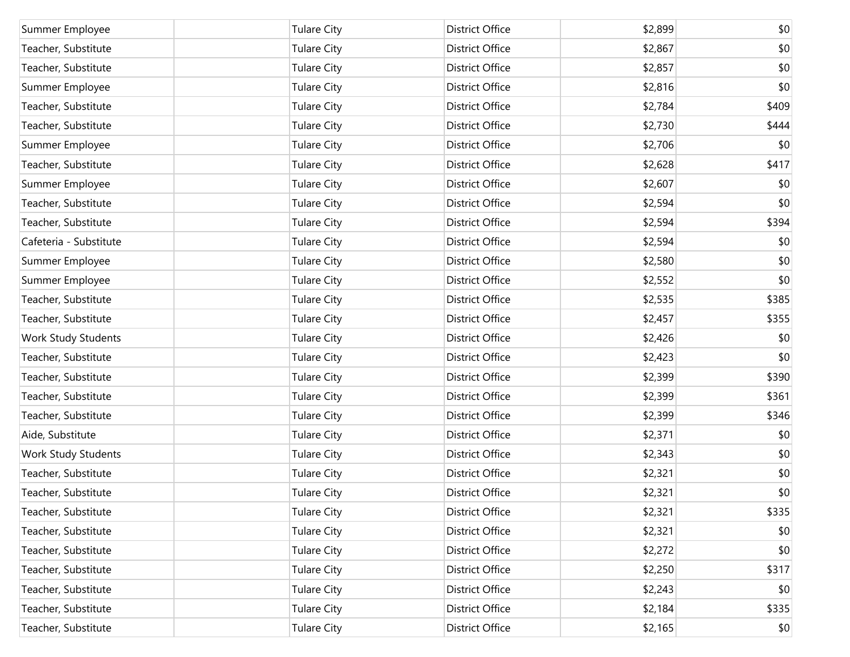| Summer Employee        | <b>Tulare City</b> | <b>District Office</b> | \$2,899 | \$0   |
|------------------------|--------------------|------------------------|---------|-------|
| Teacher, Substitute    | <b>Tulare City</b> | District Office        | \$2,867 | \$0   |
| Teacher, Substitute    | <b>Tulare City</b> | District Office        | \$2,857 | \$0   |
| Summer Employee        | <b>Tulare City</b> | <b>District Office</b> | \$2,816 | \$0   |
| Teacher, Substitute    | <b>Tulare City</b> | District Office        | \$2,784 | \$409 |
| Teacher, Substitute    | <b>Tulare City</b> | District Office        | \$2,730 | \$444 |
| Summer Employee        | <b>Tulare City</b> | District Office        | \$2,706 | \$0   |
| Teacher, Substitute    | <b>Tulare City</b> | <b>District Office</b> | \$2,628 | \$417 |
| Summer Employee        | <b>Tulare City</b> | District Office        | \$2,607 | \$0   |
| Teacher, Substitute    | <b>Tulare City</b> | District Office        | \$2,594 | \$0   |
| Teacher, Substitute    | <b>Tulare City</b> | District Office        | \$2,594 | \$394 |
| Cafeteria - Substitute | <b>Tulare City</b> | <b>District Office</b> | \$2,594 | \$0   |
| Summer Employee        | <b>Tulare City</b> | District Office        | \$2,580 | \$0   |
| Summer Employee        | <b>Tulare City</b> | District Office        | \$2,552 | \$0   |
| Teacher, Substitute    | <b>Tulare City</b> | District Office        | \$2,535 | \$385 |
| Teacher, Substitute    | <b>Tulare City</b> | <b>District Office</b> | \$2,457 | \$355 |
| Work Study Students    | <b>Tulare City</b> | District Office        | \$2,426 | \$0   |
| Teacher, Substitute    | <b>Tulare City</b> | District Office        | \$2,423 | \$0   |
| Teacher, Substitute    | <b>Tulare City</b> | District Office        | \$2,399 | \$390 |
| Teacher, Substitute    | <b>Tulare City</b> | <b>District Office</b> | \$2,399 | \$361 |
| Teacher, Substitute    | <b>Tulare City</b> | District Office        | \$2,399 | \$346 |
| Aide, Substitute       | <b>Tulare City</b> | District Office        | \$2,371 | \$0   |
| Work Study Students    | <b>Tulare City</b> | District Office        | \$2,343 | \$0   |
| Teacher, Substitute    | <b>Tulare City</b> | <b>District Office</b> | \$2,321 | \$0   |
| Teacher, Substitute    | <b>Tulare City</b> | <b>District Office</b> | \$2,321 | \$0   |
| Teacher, Substitute    | <b>Tulare City</b> | District Office        | \$2,321 | \$335 |
| Teacher, Substitute    | <b>Tulare City</b> | District Office        | \$2,321 | \$0   |
| Teacher, Substitute    | <b>Tulare City</b> | District Office        | \$2,272 | \$0   |
| Teacher, Substitute    | <b>Tulare City</b> | District Office        | \$2,250 | \$317 |
| Teacher, Substitute    | <b>Tulare City</b> | District Office        | \$2,243 | \$0   |
| Teacher, Substitute    | <b>Tulare City</b> | District Office        | \$2,184 | \$335 |
| Teacher, Substitute    | <b>Tulare City</b> | District Office        | \$2,165 | \$0   |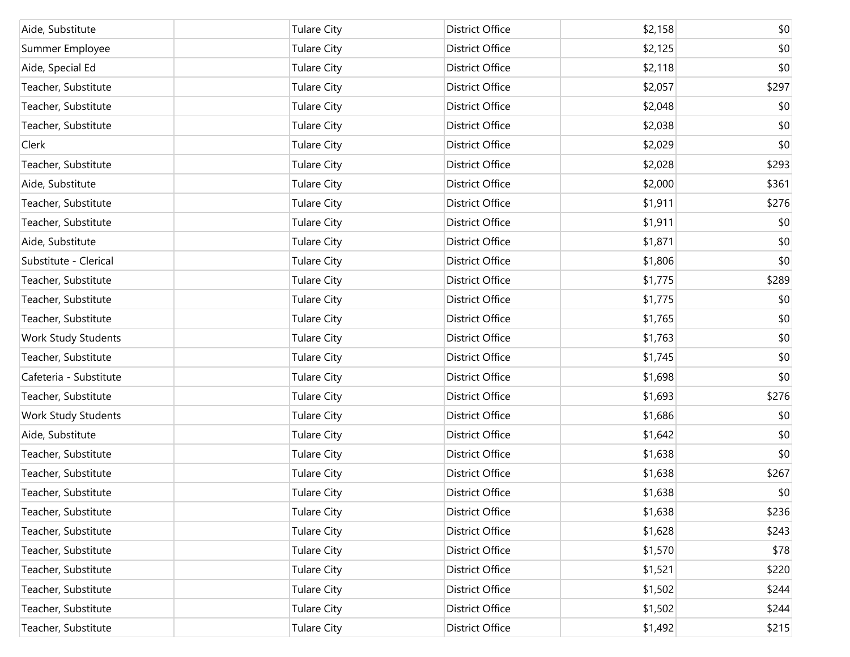| Aide, Substitute       | <b>Tulare City</b> | District Office        | \$2,158 | \$0   |
|------------------------|--------------------|------------------------|---------|-------|
| Summer Employee        | <b>Tulare City</b> | District Office        | \$2,125 | \$0   |
| Aide, Special Ed       | <b>Tulare City</b> | District Office        | \$2,118 | \$0   |
| Teacher, Substitute    | <b>Tulare City</b> | <b>District Office</b> | \$2,057 | \$297 |
| Teacher, Substitute    | <b>Tulare City</b> | District Office        | \$2,048 | \$0   |
| Teacher, Substitute    | <b>Tulare City</b> | <b>District Office</b> | \$2,038 | \$0   |
| Clerk                  | <b>Tulare City</b> | District Office        | \$2,029 | \$0   |
| Teacher, Substitute    | <b>Tulare City</b> | District Office        | \$2,028 | \$293 |
| Aide, Substitute       | <b>Tulare City</b> | District Office        | \$2,000 | \$361 |
| Teacher, Substitute    | <b>Tulare City</b> | <b>District Office</b> | \$1,911 | \$276 |
| Teacher, Substitute    | <b>Tulare City</b> | District Office        | \$1,911 | \$0   |
| Aide, Substitute       | <b>Tulare City</b> | District Office        | \$1,871 | \$0   |
| Substitute - Clerical  | <b>Tulare City</b> | District Office        | \$1,806 | \$0   |
| Teacher, Substitute    | <b>Tulare City</b> | <b>District Office</b> | \$1,775 | \$289 |
| Teacher, Substitute    | <b>Tulare City</b> | District Office        | \$1,775 | \$0   |
| Teacher, Substitute    | <b>Tulare City</b> | <b>District Office</b> | \$1,765 | \$0   |
| Work Study Students    | <b>Tulare City</b> | District Office        | \$1,763 | \$0   |
| Teacher, Substitute    | <b>Tulare City</b> | <b>District Office</b> | \$1,745 | \$0   |
| Cafeteria - Substitute | <b>Tulare City</b> | District Office        | \$1,698 | \$0   |
| Teacher, Substitute    | <b>Tulare City</b> | <b>District Office</b> | \$1,693 | \$276 |
| Work Study Students    | <b>Tulare City</b> | District Office        | \$1,686 | \$0   |
| Aide, Substitute       | <b>Tulare City</b> | <b>District Office</b> | \$1,642 | \$0   |
| Teacher, Substitute    | <b>Tulare City</b> | District Office        | \$1,638 | \$0   |
| Teacher, Substitute    | <b>Tulare City</b> | <b>District Office</b> | \$1,638 | \$267 |
| Teacher, Substitute    | <b>Tulare City</b> | <b>District Office</b> | \$1,638 | \$0   |
| Teacher, Substitute    | <b>Tulare City</b> | District Office        | \$1,638 | \$236 |
| Teacher, Substitute    | <b>Tulare City</b> | District Office        | \$1,628 | \$243 |
| Teacher, Substitute    | <b>Tulare City</b> | District Office        | \$1,570 | \$78  |
| Teacher, Substitute    | <b>Tulare City</b> | District Office        | \$1,521 | \$220 |
| Teacher, Substitute    | <b>Tulare City</b> | District Office        | \$1,502 | \$244 |
| Teacher, Substitute    | <b>Tulare City</b> | District Office        | \$1,502 | \$244 |
| Teacher, Substitute    | <b>Tulare City</b> | District Office        | \$1,492 | \$215 |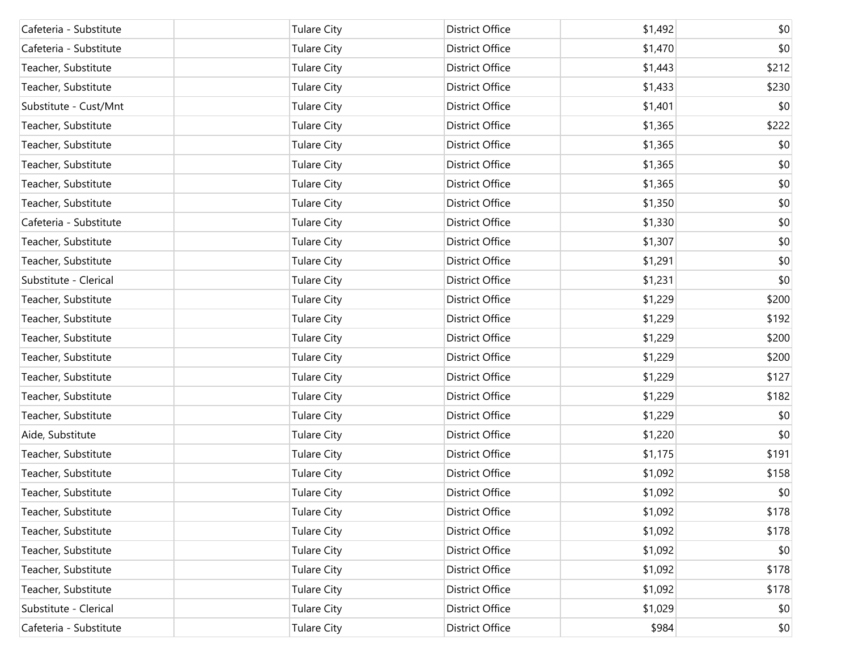| Cafeteria - Substitute | <b>Tulare City</b> | District Office        | \$1,492 | \$0   |
|------------------------|--------------------|------------------------|---------|-------|
| Cafeteria - Substitute | <b>Tulare City</b> | <b>District Office</b> | \$1,470 | \$0   |
| Teacher, Substitute    | <b>Tulare City</b> | District Office        | \$1,443 | \$212 |
| Teacher, Substitute    | <b>Tulare City</b> | District Office        | \$1,433 | \$230 |
| Substitute - Cust/Mnt  | <b>Tulare City</b> | District Office        | \$1,401 | \$0   |
| Teacher, Substitute    | <b>Tulare City</b> | <b>District Office</b> | \$1,365 | \$222 |
| Teacher, Substitute    | <b>Tulare City</b> | District Office        | \$1,365 | \$0   |
| Teacher, Substitute    | <b>Tulare City</b> | District Office        | \$1,365 | \$0   |
| Teacher, Substitute    | <b>Tulare City</b> | District Office        | \$1,365 | \$0   |
| Teacher, Substitute    | <b>Tulare City</b> | <b>District Office</b> | \$1,350 | \$0   |
| Cafeteria - Substitute | <b>Tulare City</b> | District Office        | \$1,330 | \$0   |
| Teacher, Substitute    | <b>Tulare City</b> | District Office        | \$1,307 | \$0   |
| Teacher, Substitute    | <b>Tulare City</b> | District Office        | \$1,291 | \$0   |
| Substitute - Clerical  | <b>Tulare City</b> | <b>District Office</b> | \$1,231 | \$0   |
| Teacher, Substitute    | <b>Tulare City</b> | District Office        | \$1,229 | \$200 |
| Teacher, Substitute    | <b>Tulare City</b> | District Office        | \$1,229 | \$192 |
| Teacher, Substitute    | <b>Tulare City</b> | District Office        | \$1,229 | \$200 |
| Teacher, Substitute    | <b>Tulare City</b> | <b>District Office</b> | \$1,229 | \$200 |
| Teacher, Substitute    | <b>Tulare City</b> | District Office        | \$1,229 | \$127 |
| Teacher, Substitute    | <b>Tulare City</b> | District Office        | \$1,229 | \$182 |
| Teacher, Substitute    | <b>Tulare City</b> | District Office        | \$1,229 | \$0   |
| Aide, Substitute       | <b>Tulare City</b> | <b>District Office</b> | \$1,220 | \$0   |
| Teacher, Substitute    | <b>Tulare City</b> | District Office        | \$1,175 | \$191 |
| Teacher, Substitute    | <b>Tulare City</b> | District Office        | \$1,092 | \$158 |
| Teacher, Substitute    | <b>Tulare City</b> | <b>District Office</b> | \$1,092 | \$0   |
| Teacher, Substitute    | <b>Tulare City</b> | District Office        | \$1,092 | \$178 |
| Teacher, Substitute    | <b>Tulare City</b> | District Office        | \$1,092 | \$178 |
| Teacher, Substitute    | <b>Tulare City</b> | District Office        | \$1,092 | \$0   |
| Teacher, Substitute    | <b>Tulare City</b> | District Office        | \$1,092 | \$178 |
| Teacher, Substitute    | <b>Tulare City</b> | District Office        | \$1,092 | \$178 |
| Substitute - Clerical  | <b>Tulare City</b> | <b>District Office</b> | \$1,029 | \$0   |
| Cafeteria - Substitute | <b>Tulare City</b> | District Office        | \$984   | \$0   |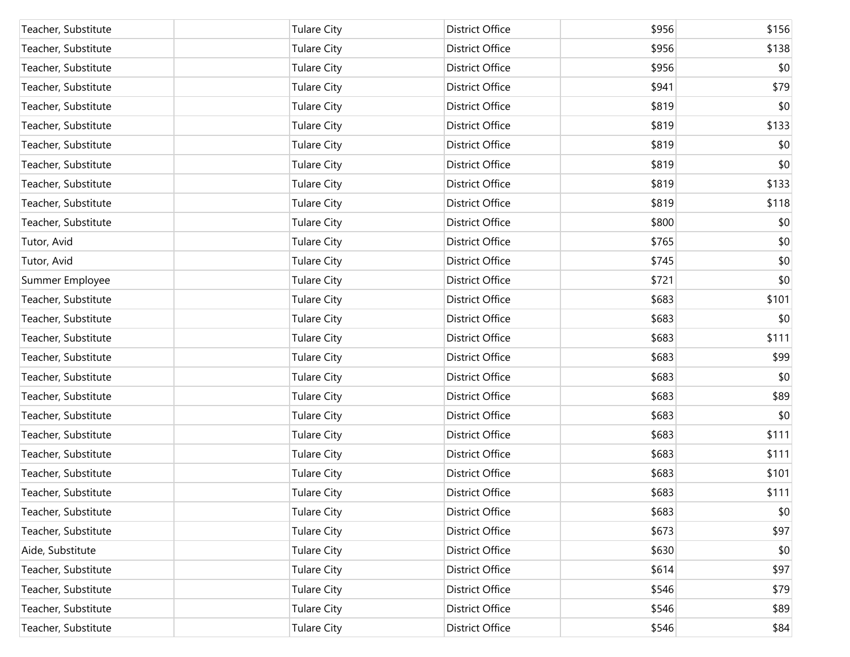| Teacher, Substitute | <b>Tulare City</b> | District Office | \$956 | \$156 |
|---------------------|--------------------|-----------------|-------|-------|
| Teacher, Substitute | <b>Tulare City</b> | District Office | \$956 | \$138 |
| Teacher, Substitute | <b>Tulare City</b> | District Office | \$956 | \$0   |
| Teacher, Substitute | <b>Tulare City</b> | District Office | \$941 | \$79  |
| Teacher, Substitute | <b>Tulare City</b> | District Office | \$819 | \$0   |
| Teacher, Substitute | <b>Tulare City</b> | District Office | \$819 | \$133 |
| Teacher, Substitute | <b>Tulare City</b> | District Office | \$819 | \$0   |
| Teacher, Substitute | <b>Tulare City</b> | District Office | \$819 | \$0   |
| Teacher, Substitute | <b>Tulare City</b> | District Office | \$819 | \$133 |
| Teacher, Substitute | <b>Tulare City</b> | District Office | \$819 | \$118 |
| Teacher, Substitute | <b>Tulare City</b> | District Office | \$800 | \$0   |
| Tutor, Avid         | <b>Tulare City</b> | District Office | \$765 | \$0   |
| Tutor, Avid         | <b>Tulare City</b> | District Office | \$745 | \$0   |
| Summer Employee     | <b>Tulare City</b> | District Office | \$721 | \$0   |
| Teacher, Substitute | <b>Tulare City</b> | District Office | \$683 | \$101 |
| Teacher, Substitute | <b>Tulare City</b> | District Office | \$683 | \$0   |
| Teacher, Substitute | <b>Tulare City</b> | District Office | \$683 | \$111 |
| Teacher, Substitute | <b>Tulare City</b> | District Office | \$683 | \$99  |
| Teacher, Substitute | <b>Tulare City</b> | District Office | \$683 | \$0   |
| Teacher, Substitute | <b>Tulare City</b> | District Office | \$683 | \$89  |
| Teacher, Substitute | <b>Tulare City</b> | District Office | \$683 | \$0   |
| Teacher, Substitute | <b>Tulare City</b> | District Office | \$683 | \$111 |
| Teacher, Substitute | <b>Tulare City</b> | District Office | \$683 | \$111 |
| Teacher, Substitute | <b>Tulare City</b> | District Office | \$683 | \$101 |
| Teacher, Substitute | <b>Tulare City</b> | District Office | \$683 | \$111 |
| Teacher, Substitute | <b>Tulare City</b> | District Office | \$683 | \$0   |
| Teacher, Substitute | <b>Tulare City</b> | District Office | \$673 | \$97  |
| Aide, Substitute    | <b>Tulare City</b> | District Office | \$630 | \$0   |
| Teacher, Substitute | <b>Tulare City</b> | District Office | \$614 | \$97  |
| Teacher, Substitute | <b>Tulare City</b> | District Office | \$546 | \$79  |
| Teacher, Substitute | <b>Tulare City</b> | District Office | \$546 | \$89  |
| Teacher, Substitute | <b>Tulare City</b> | District Office | \$546 | \$84  |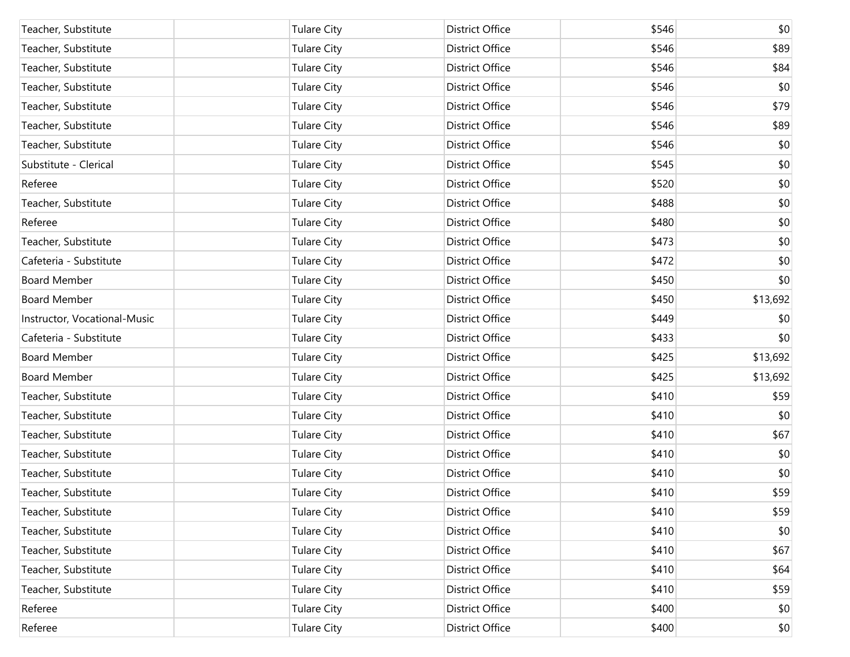| Teacher, Substitute          | <b>Tulare City</b> | <b>District Office</b> | \$546 | \$0          |
|------------------------------|--------------------|------------------------|-------|--------------|
| Teacher, Substitute          | <b>Tulare City</b> | District Office        | \$546 | \$89         |
| Teacher, Substitute          | <b>Tulare City</b> | District Office        | \$546 | \$84         |
| Teacher, Substitute          | <b>Tulare City</b> | District Office        | \$546 | \$0          |
| Teacher, Substitute          | <b>Tulare City</b> | District Office        | \$546 | \$79         |
| Teacher, Substitute          | <b>Tulare City</b> | District Office        | \$546 | \$89         |
| Teacher, Substitute          | <b>Tulare City</b> | District Office        | \$546 | \$0          |
| Substitute - Clerical        | <b>Tulare City</b> | District Office        | \$545 | \$0          |
| Referee                      | <b>Tulare City</b> | District Office        | \$520 | \$0          |
| Teacher, Substitute          | <b>Tulare City</b> | District Office        | \$488 | \$0          |
| Referee                      | <b>Tulare City</b> | District Office        | \$480 | \$0          |
| Teacher, Substitute          | <b>Tulare City</b> | District Office        | \$473 | \$0          |
| Cafeteria - Substitute       | <b>Tulare City</b> | District Office        | \$472 | \$0          |
| <b>Board Member</b>          | <b>Tulare City</b> | District Office        | \$450 | \$0          |
| <b>Board Member</b>          | <b>Tulare City</b> | District Office        | \$450 | \$13,692     |
| Instructor, Vocational-Music | <b>Tulare City</b> | District Office        | \$449 | \$0          |
| Cafeteria - Substitute       | <b>Tulare City</b> | District Office        | \$433 | \$0          |
| <b>Board Member</b>          | <b>Tulare City</b> | District Office        | \$425 | \$13,692     |
| <b>Board Member</b>          | <b>Tulare City</b> | District Office        | \$425 | \$13,692     |
| Teacher, Substitute          | <b>Tulare City</b> | District Office        | \$410 | \$59         |
| Teacher, Substitute          | <b>Tulare City</b> | District Office        | \$410 | \$0          |
| Teacher, Substitute          | <b>Tulare City</b> | District Office        | \$410 | \$67         |
| Teacher, Substitute          | <b>Tulare City</b> | District Office        | \$410 | \$0          |
| Teacher, Substitute          | <b>Tulare City</b> | District Office        | \$410 | \$0          |
| Teacher, Substitute          | <b>Tulare City</b> | <b>District Office</b> | \$410 | \$59         |
| Teacher, Substitute          | <b>Tulare City</b> | District Office        | \$410 | \$59         |
| Teacher, Substitute          | <b>Tulare City</b> | District Office        | \$410 | \$0          |
| Teacher, Substitute          | <b>Tulare City</b> | District Office        | \$410 | \$67         |
| Teacher, Substitute          | <b>Tulare City</b> | District Office        | \$410 | \$64         |
| Teacher, Substitute          | <b>Tulare City</b> | District Office        | \$410 | \$59         |
| Referee                      | <b>Tulare City</b> | District Office        | \$400 | \$0          |
| Referee                      | <b>Tulare City</b> | District Office        | \$400 | $ 10\rangle$ |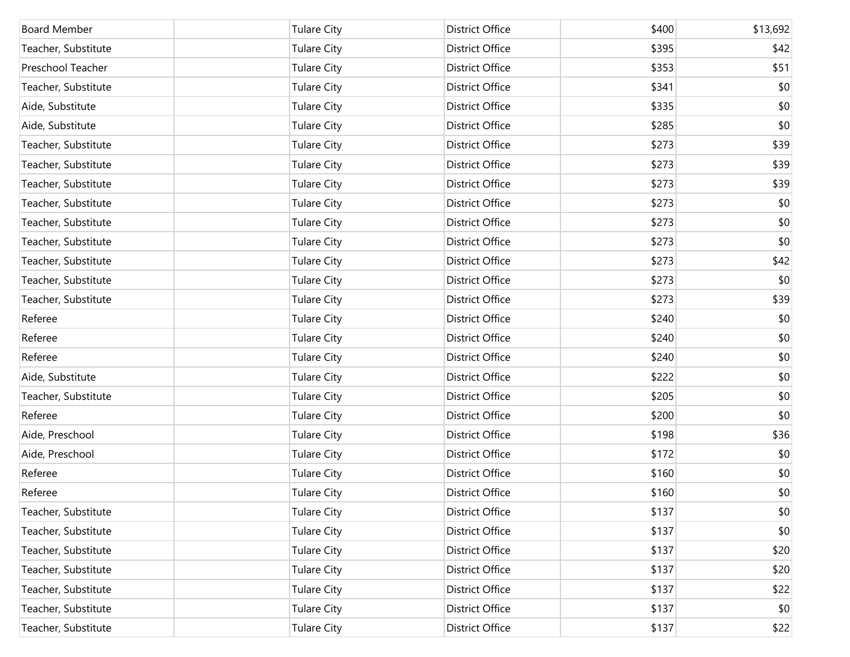| <b>Board Member</b> | <b>Tulare City</b> | District Office | \$400 | \$13,692 |
|---------------------|--------------------|-----------------|-------|----------|
| Teacher, Substitute | <b>Tulare City</b> | District Office | \$395 | \$42     |
| Preschool Teacher   | <b>Tulare City</b> | District Office | \$353 | \$51     |
| Teacher, Substitute | <b>Tulare City</b> | District Office | \$341 | \$0      |
| Aide, Substitute    | <b>Tulare City</b> | District Office | \$335 | \$0      |
| Aide, Substitute    | <b>Tulare City</b> | District Office | \$285 | \$0      |
| Teacher, Substitute | <b>Tulare City</b> | District Office | \$273 | \$39     |
| Teacher, Substitute | <b>Tulare City</b> | District Office | \$273 | \$39     |
| Teacher, Substitute | <b>Tulare City</b> | District Office | \$273 | \$39     |
| Teacher, Substitute | <b>Tulare City</b> | District Office | \$273 | \$0      |
| Teacher, Substitute | <b>Tulare City</b> | District Office | \$273 | \$0      |
| Teacher, Substitute | <b>Tulare City</b> | District Office | \$273 | \$0      |
| Teacher, Substitute | <b>Tulare City</b> | District Office | \$273 | \$42     |
| Teacher, Substitute | <b>Tulare City</b> | District Office | \$273 | \$0      |
| Teacher, Substitute | <b>Tulare City</b> | District Office | \$273 | \$39     |
| Referee             | <b>Tulare City</b> | District Office | \$240 | \$0      |
| Referee             | <b>Tulare City</b> | District Office | \$240 | \$0      |
| Referee             | <b>Tulare City</b> | District Office | \$240 | \$0      |
| Aide, Substitute    | <b>Tulare City</b> | District Office | \$222 | \$0      |
| Teacher, Substitute | <b>Tulare City</b> | District Office | \$205 | \$0      |
| Referee             | <b>Tulare City</b> | District Office | \$200 | \$0      |
| Aide, Preschool     | <b>Tulare City</b> | District Office | \$198 | \$36     |
| Aide, Preschool     | <b>Tulare City</b> | District Office | \$172 | \$0      |
| Referee             | <b>Tulare City</b> | District Office | \$160 | \$0      |
| Referee             | <b>Tulare City</b> | District Office | \$160 | \$0      |
| Teacher, Substitute | <b>Tulare City</b> | District Office | \$137 | \$0      |
| Teacher, Substitute | <b>Tulare City</b> | District Office | \$137 | \$0      |
| Teacher, Substitute | <b>Tulare City</b> | District Office | \$137 | \$20     |
| Teacher, Substitute | <b>Tulare City</b> | District Office | \$137 | \$20     |
| Teacher, Substitute | <b>Tulare City</b> | District Office | \$137 | \$22     |
| Teacher, Substitute | <b>Tulare City</b> | District Office | \$137 | \$0      |
| Teacher, Substitute | <b>Tulare City</b> | District Office | \$137 | \$22     |